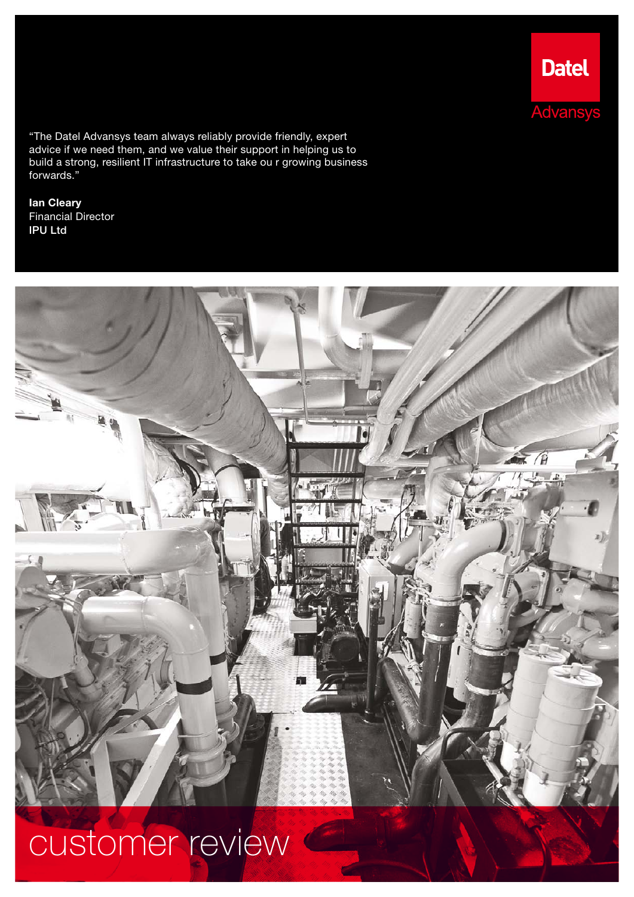"The Datel Advansys team always reliably provide friendly, expert advice if we need them, and we value their support in helping us to build a strong, resilient IT infrastructure to take ou r growing business forwards."

Ian Cleary Financial Director IPU Ltd



**Datel** 

**Advansys** 

customer review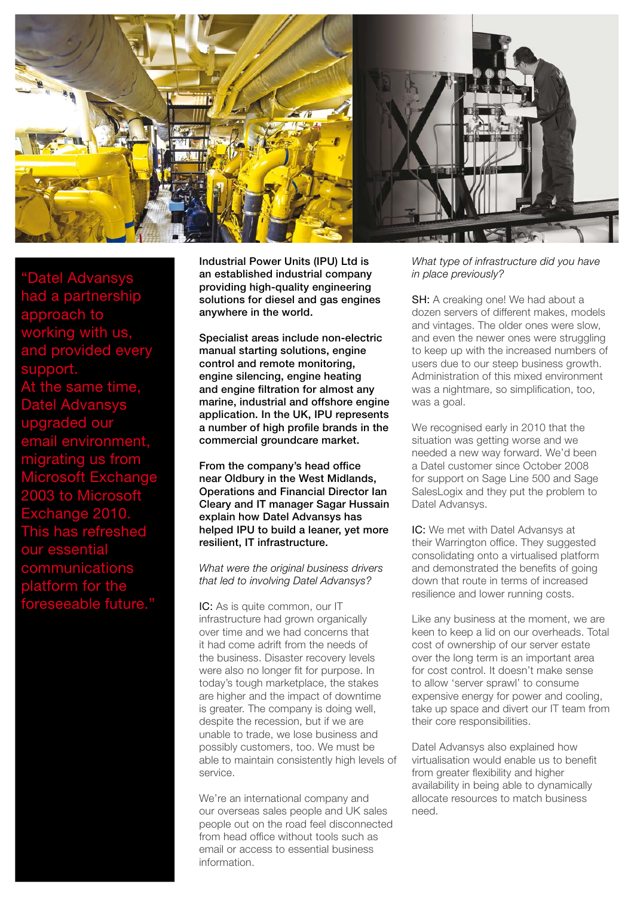

"Datel Advansys had a partnership approach to working with us, and provided every support. ame time, Datel Advansys upgraded our environment, migrating us from ıcrosoft Exchar 2003 to Microsoft change 2010 This has refreshed <u>our essentia</u> communications platform for the foreseeable future."

Industrial Power Units (IPU) Ltd is an established industrial company providing high-quality engineering solutions for diesel and gas engines anywhere in the world.

Specialist areas include non-electric manual starting solutions, engine control and remote monitoring, engine silencing, engine heating and engine filtration for almost any marine, industrial and offshore engine application. In the UK, IPU represents a number of high profile brands in the commercial groundcare market.

From the company's head office near Oldbury in the West Midlands, Operations and Financial Director Ian Cleary and IT manager Sagar Hussain explain how Datel Advansys has helped IPU to build a leaner, yet more resilient, IT infrastructure.

*What were the original business drivers that led to involving Datel Advansys?*

IC: As is quite common, our IT infrastructure had grown organically over time and we had concerns that it had come adrift from the needs of the business. Disaster recovery levels were also no longer fit for purpose. In today's tough marketplace, the stakes are higher and the impact of downtime is greater. The company is doing well, despite the recession, but if we are unable to trade, we lose business and possibly customers, too. We must be able to maintain consistently high levels of service.

We're an international company and our overseas sales people and UK sales people out on the road feel disconnected from head office without tools such as email or access to essential business information.

*What type of infrastructure did you have in place previously?* 

SH: A creaking one! We had about a dozen servers of different makes, models and vintages. The older ones were slow, and even the newer ones were struggling to keep up with the increased numbers of users due to our steep business growth. Administration of this mixed environment was a nightmare, so simplification, too, was a goal.

We recognised early in 2010 that the situation was getting worse and we needed a new way forward. We'd been a Datel customer since October 2008 for support on Sage Line 500 and Sage SalesLogix and they put the problem to Datel Advansys.

IC: We met with Datel Advansys at their Warrington office. They suggested consolidating onto a virtualised platform and demonstrated the benefits of going down that route in terms of increased resilience and lower running costs.

Like any business at the moment, we are keen to keep a lid on our overheads. Total cost of ownership of our server estate over the long term is an important area for cost control. It doesn't make sense to allow 'server sprawl' to consume expensive energy for power and cooling, take up space and divert our IT team from their core responsibilities.

Datel Advansys also explained how virtualisation would enable us to benefit from greater flexibility and higher availability in being able to dynamically allocate resources to match business need.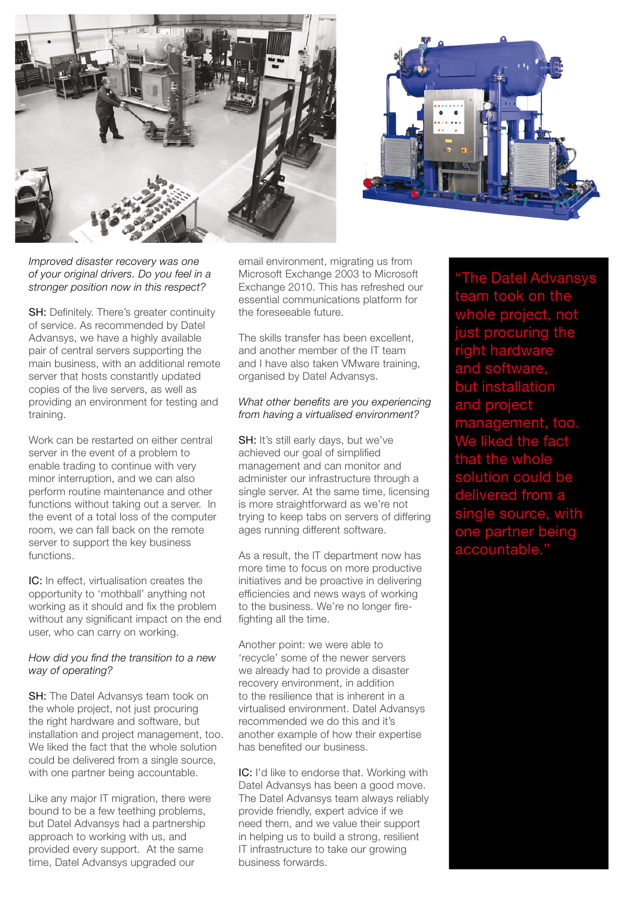



*Improved disaster recovery was one of your original drivers. Do you feel in a stronger position now in this respect?*

SH: Definitely. There's greater continuity of service. As recommended by Datel Advansys, we have a highly available pair of central servers supporting the main business, with an additional remote server that hosts constantly updated copies of the live servers, as well as providing an environment for testing and training.

Work can be restarted on either central server in the event of a problem to enable trading to continue with very minor interruption, and we can also perform routine maintenance and other functions without taking out a server. In the event of a total loss of the computer room, we can fall back on the remote server to support the key business functions.

IC: In effect, virtualisation creates the opportunity to 'mothball' anything not working as it should and fix the problem without any significant impact on the end user, who can carry on working.

## *How did you find the transition to a new way of operating?*

**SH:** The Datel Advansys team took on the whole project, not just procuring the right hardware and software, but installation and project management, too. We liked the fact that the whole solution could be delivered from a single source, with one partner being accountable.

Like any major IT migration, there were bound to be a few teething problems, but Datel Advansys had a partnership approach to working with us, and provided every support. At the same time, Datel Advansys upgraded our

email environment, migrating us from Microsoft Exchange 2003 to Microsoft Exchange 2010. This has refreshed our essential communications platform for the foreseeable future.

The skills transfer has been excellent, and another member of the IT team and I have also taken VMware training, organised by Datel Advansys.

## *What other benefits are you experiencing from having a virtualised environment?*

SH: It's still early days, but we've achieved our goal of simplified management and can monitor and administer our infrastructure through a single server. At the same time, licensing is more straightforward as we're not trying to keep tabs on servers of differing ages running different software.

As a result, the IT department now has more time to focus on more productive initiatives and be proactive in delivering efficiencies and news ways of working to the business. We're no longer firefighting all the time.

Another point: we were able to 'recycle' some of the newer servers we already had to provide a disaster recovery environment, in addition to the resilience that is inherent in a virtualised environment. Datel Advansys recommended we do this and it's another example of how their expertise has benefited our business.

IC: I'd like to endorse that. Working with Datel Advansys has been a good move. The Datel Advansys team always reliably provide friendly, expert advice if we need them, and we value their support in helping us to build a strong, resilient IT infrastructure to take our growing business forwards.

**The Datel Advansys** team took on the whole project, not just procuring the right hardware and software, but installation and project gement, too.  $\epsilon$ ed the fact the whole olution could be delivered from a single source, wi one partner being accountable